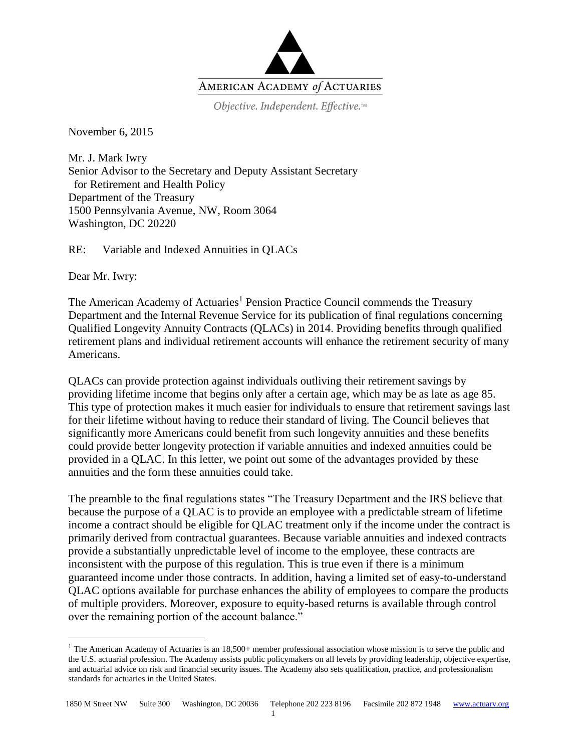

Objective. Independent. Effective.™

November 6, 2015

Mr. J. Mark Iwry Senior Advisor to the Secretary and Deputy Assistant Secretary for Retirement and Health Policy Department of the Treasury 1500 Pennsylvania Avenue, NW, Room 3064 Washington, DC 20220

RE: Variable and Indexed Annuities in QLACs

Dear Mr. Iwry:

 $\overline{a}$ 

The American Academy of Actuaries<sup>1</sup> Pension Practice Council commends the Treasury Department and the Internal Revenue Service for its publication of final regulations concerning Qualified Longevity Annuity Contracts (QLACs) in 2014. Providing benefits through qualified retirement plans and individual retirement accounts will enhance the retirement security of many Americans.

QLACs can provide protection against individuals outliving their retirement savings by providing lifetime income that begins only after a certain age, which may be as late as age 85. This type of protection makes it much easier for individuals to ensure that retirement savings last for their lifetime without having to reduce their standard of living. The Council believes that significantly more Americans could benefit from such longevity annuities and these benefits could provide better longevity protection if variable annuities and indexed annuities could be provided in a QLAC. In this letter, we point out some of the advantages provided by these annuities and the form these annuities could take.

The preamble to the final regulations states "The Treasury Department and the IRS believe that because the purpose of a QLAC is to provide an employee with a predictable stream of lifetime income a contract should be eligible for QLAC treatment only if the income under the contract is primarily derived from contractual guarantees. Because variable annuities and indexed contracts provide a substantially unpredictable level of income to the employee, these contracts are inconsistent with the purpose of this regulation. This is true even if there is a minimum guaranteed income under those contracts. In addition, having a limited set of easy-to-understand QLAC options available for purchase enhances the ability of employees to compare the products of multiple providers. Moreover, exposure to equity-based returns is available through control over the remaining portion of the account balance."

<sup>&</sup>lt;sup>1</sup> The American Academy of Actuaries is an  $18,500+$  member professional association whose mission is to serve the public and the U.S. actuarial profession. The Academy assists public policymakers on all levels by providing leadership, objective expertise, and actuarial advice on risk and financial security issues. The Academy also sets qualification, practice, and professionalism standards for actuaries in the United States.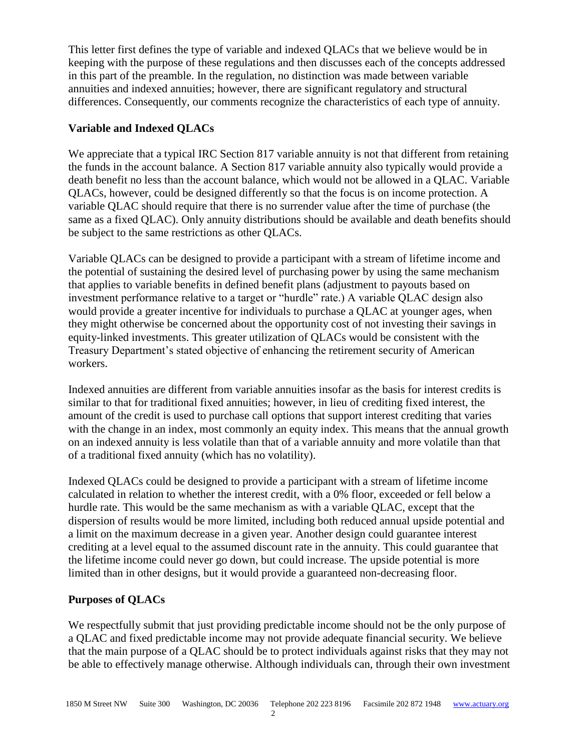This letter first defines the type of variable and indexed QLACs that we believe would be in keeping with the purpose of these regulations and then discusses each of the concepts addressed in this part of the preamble. In the regulation, no distinction was made between variable annuities and indexed annuities; however, there are significant regulatory and structural differences. Consequently, our comments recognize the characteristics of each type of annuity.

# **Variable and Indexed QLACs**

We appreciate that a typical IRC Section 817 variable annuity is not that different from retaining the funds in the account balance. A Section 817 variable annuity also typically would provide a death benefit no less than the account balance, which would not be allowed in a QLAC. Variable QLACs, however, could be designed differently so that the focus is on income protection. A variable QLAC should require that there is no surrender value after the time of purchase (the same as a fixed QLAC). Only annuity distributions should be available and death benefits should be subject to the same restrictions as other QLACs.

Variable QLACs can be designed to provide a participant with a stream of lifetime income and the potential of sustaining the desired level of purchasing power by using the same mechanism that applies to variable benefits in defined benefit plans (adjustment to payouts based on investment performance relative to a target or "hurdle" rate.) A variable QLAC design also would provide a greater incentive for individuals to purchase a QLAC at younger ages, when they might otherwise be concerned about the opportunity cost of not investing their savings in equity-linked investments. This greater utilization of QLACs would be consistent with the Treasury Department's stated objective of enhancing the retirement security of American workers.

Indexed annuities are different from variable annuities insofar as the basis for interest credits is similar to that for traditional fixed annuities; however, in lieu of crediting fixed interest, the amount of the credit is used to purchase call options that support interest crediting that varies with the change in an index, most commonly an equity index. This means that the annual growth on an indexed annuity is less volatile than that of a variable annuity and more volatile than that of a traditional fixed annuity (which has no volatility).

Indexed QLACs could be designed to provide a participant with a stream of lifetime income calculated in relation to whether the interest credit, with a 0% floor, exceeded or fell below a hurdle rate. This would be the same mechanism as with a variable QLAC, except that the dispersion of results would be more limited, including both reduced annual upside potential and a limit on the maximum decrease in a given year. Another design could guarantee interest crediting at a level equal to the assumed discount rate in the annuity. This could guarantee that the lifetime income could never go down, but could increase. The upside potential is more limited than in other designs, but it would provide a guaranteed non-decreasing floor.

### **Purposes of QLACs**

We respectfully submit that just providing predictable income should not be the only purpose of a QLAC and fixed predictable income may not provide adequate financial security. We believe that the main purpose of a QLAC should be to protect individuals against risks that they may not be able to effectively manage otherwise. Although individuals can, through their own investment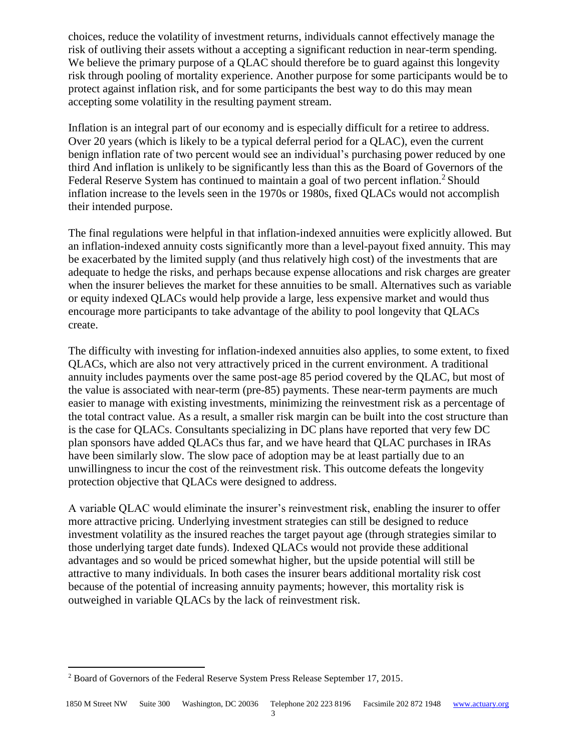choices, reduce the volatility of investment returns, individuals cannot effectively manage the risk of outliving their assets without a accepting a significant reduction in near-term spending. We believe the primary purpose of a QLAC should therefore be to guard against this longevity risk through pooling of mortality experience. Another purpose for some participants would be to protect against inflation risk, and for some participants the best way to do this may mean accepting some volatility in the resulting payment stream.

Inflation is an integral part of our economy and is especially difficult for a retiree to address. Over 20 years (which is likely to be a typical deferral period for a QLAC), even the current benign inflation rate of two percent would see an individual's purchasing power reduced by one third And inflation is unlikely to be significantly less than this as the Board of Governors of the Federal Reserve System has continued to maintain a goal of two percent inflation.<sup>2</sup> Should inflation increase to the levels seen in the 1970s or 1980s, fixed QLACs would not accomplish their intended purpose.

The final regulations were helpful in that inflation-indexed annuities were explicitly allowed. But an inflation-indexed annuity costs significantly more than a level-payout fixed annuity. This may be exacerbated by the limited supply (and thus relatively high cost) of the investments that are adequate to hedge the risks, and perhaps because expense allocations and risk charges are greater when the insurer believes the market for these annuities to be small. Alternatives such as variable or equity indexed QLACs would help provide a large, less expensive market and would thus encourage more participants to take advantage of the ability to pool longevity that QLACs create.

The difficulty with investing for inflation-indexed annuities also applies, to some extent, to fixed QLACs, which are also not very attractively priced in the current environment. A traditional annuity includes payments over the same post-age 85 period covered by the QLAC, but most of the value is associated with near-term (pre-85) payments. These near-term payments are much easier to manage with existing investments, minimizing the reinvestment risk as a percentage of the total contract value. As a result, a smaller risk margin can be built into the cost structure than is the case for QLACs. Consultants specializing in DC plans have reported that very few DC plan sponsors have added QLACs thus far, and we have heard that QLAC purchases in IRAs have been similarly slow. The slow pace of adoption may be at least partially due to an unwillingness to incur the cost of the reinvestment risk. This outcome defeats the longevity protection objective that QLACs were designed to address.

A variable QLAC would eliminate the insurer's reinvestment risk, enabling the insurer to offer more attractive pricing. Underlying investment strategies can still be designed to reduce investment volatility as the insured reaches the target payout age (through strategies similar to those underlying target date funds). Indexed QLACs would not provide these additional advantages and so would be priced somewhat higher, but the upside potential will still be attractive to many individuals. In both cases the insurer bears additional mortality risk cost because of the potential of increasing annuity payments; however, this mortality risk is outweighed in variable QLACs by the lack of reinvestment risk.

 $\overline{a}$ 

<sup>2</sup> Board of Governors of the Federal Reserve System Press Release September 17, 2015.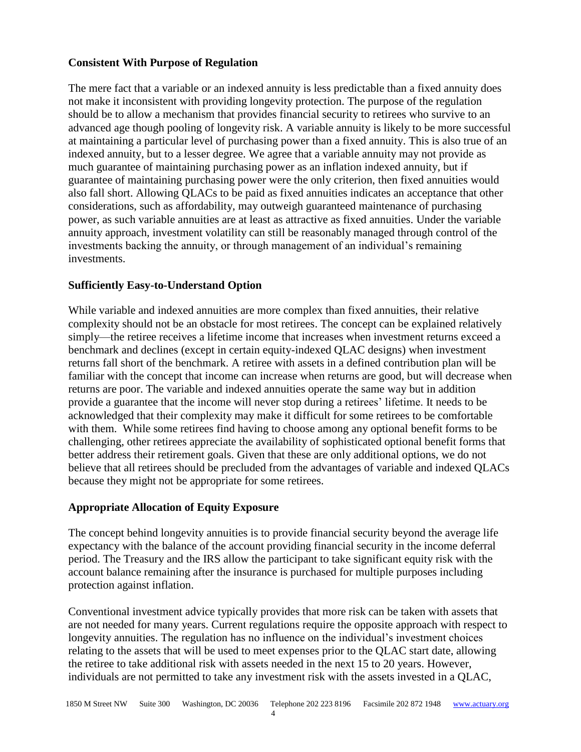## **Consistent With Purpose of Regulation**

The mere fact that a variable or an indexed annuity is less predictable than a fixed annuity does not make it inconsistent with providing longevity protection. The purpose of the regulation should be to allow a mechanism that provides financial security to retirees who survive to an advanced age though pooling of longevity risk. A variable annuity is likely to be more successful at maintaining a particular level of purchasing power than a fixed annuity. This is also true of an indexed annuity, but to a lesser degree. We agree that a variable annuity may not provide as much guarantee of maintaining purchasing power as an inflation indexed annuity, but if guarantee of maintaining purchasing power were the only criterion, then fixed annuities would also fall short. Allowing QLACs to be paid as fixed annuities indicates an acceptance that other considerations, such as affordability, may outweigh guaranteed maintenance of purchasing power, as such variable annuities are at least as attractive as fixed annuities. Under the variable annuity approach, investment volatility can still be reasonably managed through control of the investments backing the annuity, or through management of an individual's remaining investments.

## **Sufficiently Easy-to-Understand Option**

While variable and indexed annuities are more complex than fixed annuities, their relative complexity should not be an obstacle for most retirees. The concept can be explained relatively simply—the retiree receives a lifetime income that increases when investment returns exceed a benchmark and declines (except in certain equity-indexed QLAC designs) when investment returns fall short of the benchmark. A retiree with assets in a defined contribution plan will be familiar with the concept that income can increase when returns are good, but will decrease when returns are poor. The variable and indexed annuities operate the same way but in addition provide a guarantee that the income will never stop during a retirees' lifetime. It needs to be acknowledged that their complexity may make it difficult for some retirees to be comfortable with them. While some retirees find having to choose among any optional benefit forms to be challenging, other retirees appreciate the availability of sophisticated optional benefit forms that better address their retirement goals. Given that these are only additional options, we do not believe that all retirees should be precluded from the advantages of variable and indexed QLACs because they might not be appropriate for some retirees.

### **Appropriate Allocation of Equity Exposure**

The concept behind longevity annuities is to provide financial security beyond the average life expectancy with the balance of the account providing financial security in the income deferral period. The Treasury and the IRS allow the participant to take significant equity risk with the account balance remaining after the insurance is purchased for multiple purposes including protection against inflation.

Conventional investment advice typically provides that more risk can be taken with assets that are not needed for many years. Current regulations require the opposite approach with respect to longevity annuities. The regulation has no influence on the individual's investment choices relating to the assets that will be used to meet expenses prior to the QLAC start date, allowing the retiree to take additional risk with assets needed in the next 15 to 20 years. However, individuals are not permitted to take any investment risk with the assets invested in a QLAC,

4